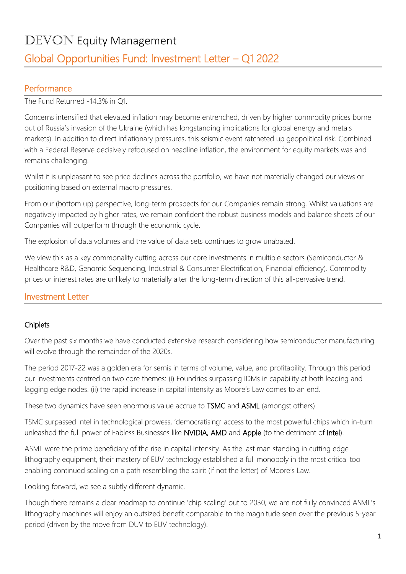# DEVON Equity Management

## Global Opportunities Fund: Investment Letter – Q1 2022

#### Performance

The Fund Returned -14.3% in Q1.

Concerns intensified that elevated inflation may become entrenched, driven by higher commodity prices borne out of Russia's invasion of the Ukraine (which has longstanding implications for global energy and metals markets). In addition to direct inflationary pressures, this seismic event ratcheted up geopolitical risk. Combined with a Federal Reserve decisively refocused on headline inflation, the environment for equity markets was and remains challenging.

Whilst it is unpleasant to see price declines across the portfolio, we have not materially changed our views or positioning based on external macro pressures.

From our (bottom up) perspective, long-term prospects for our Companies remain strong. Whilst valuations are negatively impacted by higher rates, we remain confident the robust business models and balance sheets of our Companies will outperform through the economic cycle.

The explosion of data volumes and the value of data sets continues to grow unabated.

We view this as a key commonality cutting across our core investments in multiple sectors (Semiconductor & Healthcare R&D, Genomic Sequencing, Industrial & Consumer Electrification, Financial efficiency). Commodity prices or interest rates are unlikely to materially alter the long-term direction of this all-pervasive trend.

#### Investment Letter

#### **Chiplets**

Over the past six months we have conducted extensive research considering how semiconductor manufacturing will evolve through the remainder of the 2020s.

The period 2017-22 was a golden era for semis in terms of volume, value, and profitability. Through this period our investments centred on two core themes: (i) Foundries surpassing IDMs in capability at both leading and lagging edge nodes. (ii) the rapid increase in capital intensity as Moore's Law comes to an end.

These two dynamics have seen enormous value accrue to TSMC and ASML (amongst others).

TSMC surpassed Intel in technological prowess, 'democratising' access to the most powerful chips which in-turn unleashed the full power of Fabless Businesses like NVIDIA, AMD and Apple (to the detriment of Intel).

ASML were the prime beneficiary of the rise in capital intensity. As the last man standing in cutting edge lithography equipment, their mastery of EUV technology established a full monopoly in the most critical tool enabling continued scaling on a path resembling the spirit (if not the letter) of Moore's Law.

Looking forward, we see a subtly different dynamic.

Though there remains a clear roadmap to continue 'chip scaling' out to 2030, we are not fully convinced ASML's lithography machines will enjoy an outsized benefit comparable to the magnitude seen over the previous 5-year period (driven by the move from DUV to EUV technology).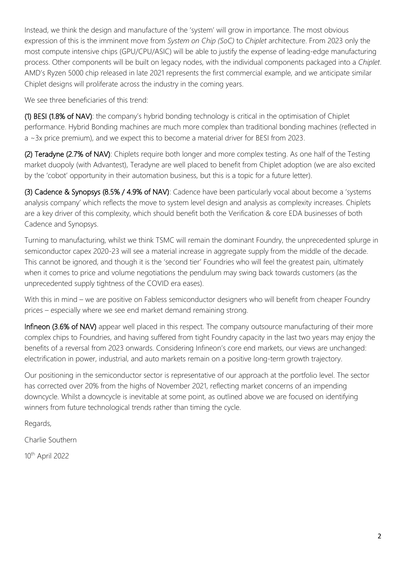Instead, we think the design and manufacture of the 'system' will grow in importance. The most obvious expression of this is the imminent move from *System on Chip (SoC)* to *Chiplet* architecture. From 2023 only the most compute intensive chips (GPU/CPU/ASIC) will be able to justify the expense of leading-edge manufacturing process. Other components will be built on legacy nodes, with the individual components packaged into a *Chiplet*. AMD's Ryzen 5000 chip released in late 2021 represents the first commercial example, and we anticipate similar Chiplet designs will proliferate across the industry in the coming years.

We see three beneficiaries of this trend:

(1) BESI (1.8% of NAV): the company's hybrid bonding technology is critical in the optimisation of Chiplet performance. Hybrid Bonding machines are much more complex than traditional bonding machines (reflected in a ~3x price premium), and we expect this to become a material driver for BESI from 2023.

(2) Teradyne (2.7% of NAV): Chiplets require both longer and more complex testing. As one half of the Testing market duopoly (with Advantest), Teradyne are well placed to benefit from Chiplet adoption (we are also excited by the 'cobot' opportunity in their automation business, but this is a topic for a future letter).

(3) Cadence & Synopsys (8.5% / 4.9% of NAV): Cadence have been particularly vocal about become a 'systems analysis company' which reflects the move to system level design and analysis as complexity increases. Chiplets are a key driver of this complexity, which should benefit both the Verification & core EDA businesses of both Cadence and Synopsys.

Turning to manufacturing, whilst we think TSMC will remain the dominant Foundry, the unprecedented splurge in semiconductor capex 2020-23 will see a material increase in aggregate supply from the middle of the decade. This cannot be ignored, and though it is the 'second tier' Foundries who will feel the greatest pain, ultimately when it comes to price and volume negotiations the pendulum may swing back towards customers (as the unprecedented supply tightness of the COVID era eases).

With this in mind – we are positive on Fabless semiconductor designers who will benefit from cheaper Foundry prices – especially where we see end market demand remaining strong.

Infineon (3.6% of NAV) appear well placed in this respect. The company outsource manufacturing of their more complex chips to Foundries, and having suffered from tight Foundry capacity in the last two years may enjoy the benefits of a reversal from 2023 onwards. Considering Infineon's core end markets, our views are unchanged: electrification in power, industrial, and auto markets remain on a positive long-term growth trajectory.

Our positioning in the semiconductor sector is representative of our approach at the portfolio level. The sector has corrected over 20% from the highs of November 2021, reflecting market concerns of an impending downcycle. Whilst a downcycle is inevitable at some point, as outlined above we are focused on identifying winners from future technological trends rather than timing the cycle.

Regards,

Charlie Southern

10th April 2022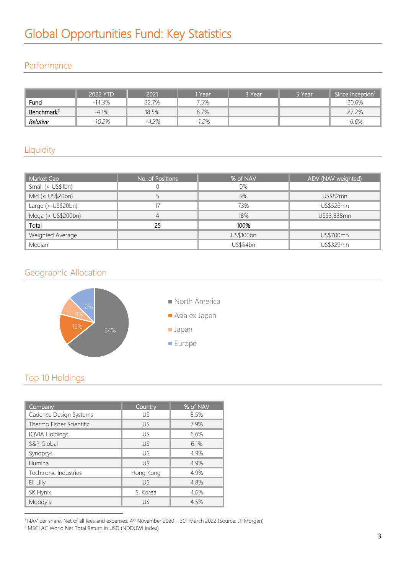### Performance

|                        | 2022 YTD | 2021    | 1 Year      | 8 Year' | י Year | Since Inception <sup>1</sup> |
|------------------------|----------|---------|-------------|---------|--------|------------------------------|
| Fund                   | $-14.3%$ | 22.7%   | 7.5%        |         |        | 20.6%                        |
| Benchmark <sup>2</sup> | $-4.1%$  | 18.5%   | 8.7%        |         |        | 27.2%                        |
| Relative               | $-10.2%$ | $+4.2%$ | .2%<br>$-1$ |         |        | $-6.6\%$                     |

## **Liquidity**

| Market Cap             | No. of Positions | % of NAV  | ADV (NAV weighted) |
|------------------------|------------------|-----------|--------------------|
| Small (< US\$1bn)      |                  | 0%        |                    |
| Mid (< US\$20bn)       |                  | 9%        | <b>US\$82mn</b>    |
| Large $($ US\$20bn $)$ | 17               | 73%       | US\$526mn          |
| Mega (> US\$200bn)     |                  | 18%       | US\$3,838mn        |
| Total                  | 25               | 100%      |                    |
| Weighted Average       |                  | US\$100bn | US\$700mn          |
| Median                 |                  | US\$54bn  | US\$329mn          |

### Geographic Allocation



## Top 10 Holdings

| Company                  | Country   | % of NAV |
|--------------------------|-----------|----------|
| Cadence Design Systems   | US        | 8.5%     |
| Thermo Fisher Scientific | US        | 7.9%     |
| <b>IQVIA Holdings</b>    | US        | 6.6%     |
| S&P Global               | US        | 6.1%     |
| Synopsys                 | US        | 4.9%     |
| Illumina                 | US        | 4.9%     |
| Techtronic Industries    | Hong Kong | 4.9%     |
| Eli Lilly                | US.       | 4.8%     |
| SK Hynix                 | S. Korea  | 4.6%     |
| Moody's                  | US        | 4.5%     |

 $1 NAV$  per share, Net of all fees and expenses:  $4<sup>th</sup>$  November 2020 – 30<sup>th</sup> March 2022 (Source: JP Morgan)

<sup>2</sup> MSCI AC World Net Total Return in USD (NDDUWI Index)